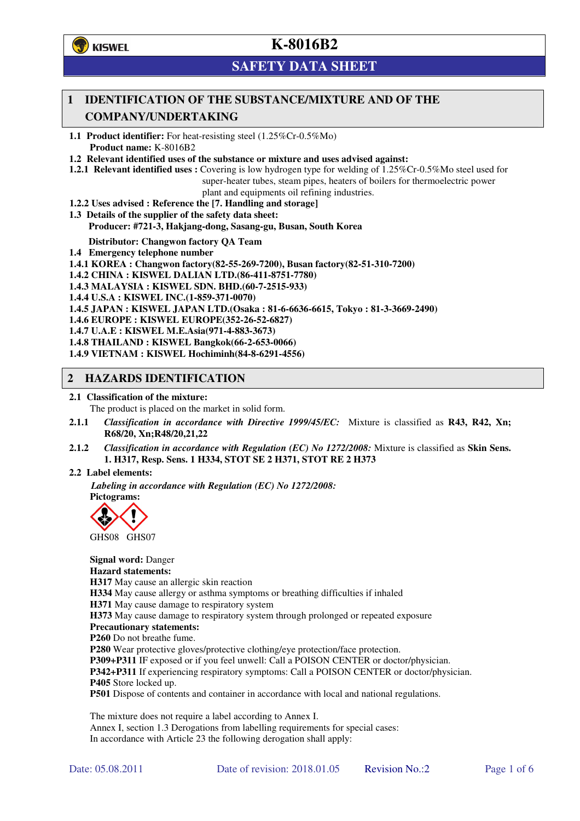

# **SAFETY DATA SHEET**

## **1 IDENTIFICATION OF THE SUBSTANCE/MIXTURE AND OF THE COMPANY/UNDERTAKING**

**1.1 Product identifier:** For heat-resisting steel (1.25%Cr-0.5%Mo) **Product name:** K-8016B2

**1.2 Relevant identified uses of the substance or mixture and uses advised against:**

**1.2.1 Relevant identified uses :** Covering is low hydrogen type for welding of 1.25%Cr-0.5%Mo steel used for super-heater tubes, steam pipes, heaters of boilers for thermoelectric power plant and equipments oil refining industries.

- **1.2.2 Uses advised : Reference the [7. Handling and storage]**
- **1.3 Details of the supplier of the safety data sheet: Producer: #721-3, Hakjang-dong, Sasang-gu, Busan, South Korea**

**Distributor: Changwon factory QA Team** 

- **1.4 Emergency telephone number**
- **1.4.1 KOREA : Changwon factory(82-55-269-7200), Busan factory(82-51-310-7200)**

**1.4.2 CHINA : KISWEL DALIAN LTD.(86-411-8751-7780)** 

**1.4.3 MALAYSIA : KISWEL SDN. BHD.(60-7-2515-933)** 

**1.4.4 U.S.A : KISWEL INC.(1-859-371-0070)** 

**1.4.5 JAPAN : KISWEL JAPAN LTD.(Osaka : 81-6-6636-6615, Tokyo : 81-3-3669-2490)** 

**1.4.6 EUROPE : KISWEL EUROPE(352-26-52-6827)** 

**1.4.7 U.A.E : KISWEL M.E.Asia(971-4-883-3673)** 

**1.4.8 THAILAND : KISWEL Bangkok(66-2-653-0066)** 

**1.4.9 VIETNAM : KISWEL Hochiminh(84-8-6291-4556)** 

### **2 HAZARDS IDENTIFICATION**

#### **2.1 Classification of the mixture:**

The product is placed on the market in solid form.

- **2.1.1** *Classification in accordance with Directive 1999/45/EC:* Mixture is classified as **R43, R42, Xn; R68/20, Xn;R48/20,21,22**
- **2.1.2** *Classification in accordance with Regulation (EC) No 1272/2008:* Mixture is classified as **Skin Sens. 1. H317, Resp. Sens. 1 H334, STOT SE 2 H371, STOT RE 2 H373**

#### **2.2 Label elements:**

*Labeling in accordance with Regulation (EC) No 1272/2008:*  **Pictograms:** 



GHS08 GHS07

**Signal word:** Danger **Hazard statements: H317** May cause an allergic skin reaction **H334** May cause allergy or asthma symptoms or breathing difficulties if inhaled **H371** May cause damage to respiratory system **H373** May cause damage to respiratory system through prolonged or repeated exposure **Precautionary statements: P260** Do not breathe fume. **P280** Wear protective gloves/protective clothing/eye protection/face protection. **P309+P311** IF exposed or if you feel unwell: Call a POISON CENTER or doctor/physician. **P342+P311** If experiencing respiratory symptoms: Call a POISON CENTER or doctor/physician. **P405** Store locked up. **P501** Dispose of contents and container in accordance with local and national regulations.

The mixture does not require a label according to Annex I. Annex I, section 1.3 Derogations from labelling requirements for special cases: In accordance with Article 23 the following derogation shall apply: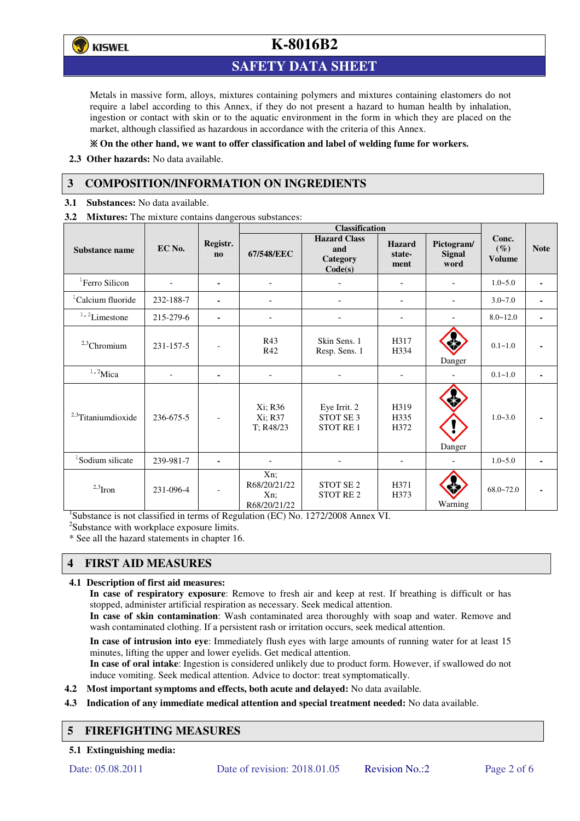

## **SAFETY DATA SHEET**

Metals in massive form, alloys, mixtures containing polymers and mixtures containing elastomers do not require a label according to this Annex, if they do not present a hazard to human health by inhalation, ingestion or contact with skin or to the aquatic environment in the form in which they are placed on the market, although classified as hazardous in accordance with the criteria of this Annex.

### **On the other hand, we want to offer classification and label of welding fume for workers.**

**2.3 Other hazards:** No data available.

## **3 COMPOSITION/INFORMATION ON INGREDIENTS**

**3.1 Substances:** No data available.

**3.2 Mixtures:** The mixture contains dangerous substances:

|                                |           |                                    | <b>Classification</b>                         |                                                          |                                 |                                     |                                  |             |
|--------------------------------|-----------|------------------------------------|-----------------------------------------------|----------------------------------------------------------|---------------------------------|-------------------------------------|----------------------------------|-------------|
| <b>Substance name</b>          | EC No.    | Registr.<br>$\mathbf{n}\mathbf{o}$ | 67/548/EEC                                    | <b>Hazard Class</b><br>and<br><b>Category</b><br>Code(s) | <b>Hazard</b><br>state-<br>ment | Pictogram/<br><b>Signal</b><br>word | Conc.<br>$(\%)$<br><b>Volume</b> | <b>Note</b> |
| <sup>1</sup> Ferro Silicon     |           | ۰                                  |                                               |                                                          | -                               |                                     | $1.0 - 5.0$                      |             |
| <sup>1</sup> Calcium fluoride  | 232-188-7 | ٠                                  |                                               |                                                          | ۰                               |                                     | $3.0 - 7.0$                      |             |
| $1/2$ Limestone                | 215-279-6 | $\blacksquare$                     | $\blacksquare$                                |                                                          | -                               |                                     | $8.0 - 12.0$                     |             |
| $2,3$ Chromium                 | 231-157-5 |                                    | R43<br>R42                                    | Skin Sens. 1<br>Resp. Sens. 1                            | H317<br>H334                    | Danger                              | $0.1 - 1.0$                      |             |
| $1,2$ Mica                     |           | $\blacksquare$                     | ٠                                             |                                                          |                                 |                                     | $0.1 - 1.0$                      |             |
| <sup>2,3</sup> Titaniumdioxide | 236-675-5 | $\overline{\phantom{a}}$           | Xi; R36<br>Xi; R37<br>T; R48/23               | Eye Irrit. 2<br>STOT SE <sub>3</sub><br>STOT RE 1        | H319<br>H335<br>H372            | Danger                              | $1.0 - 3.0$                      |             |
| <sup>1</sup> Sodium silicate   | 239-981-7 |                                    |                                               |                                                          |                                 |                                     | $1.0 - 5.0$                      |             |
| $2,3$ Iron                     | 231-096-4 |                                    | Xn;<br>R68/20/21/22<br>$Xn$ :<br>R68/20/21/22 | STOT SE <sub>2</sub><br><b>STOT RE2</b>                  | H371<br>H373                    | Warning                             | $68.0 - 72.0$                    |             |

<sup>1</sup>Substance is not classified in terms of Regulation (EC) No. 1272/2008 Annex VI.

<sup>2</sup>Substance with workplace exposure limits.

\* See all the hazard statements in chapter 16.

# **4 FIRST AID MEASURES**

#### **4.1 Description of first aid measures:**

**In case of respiratory exposure**: Remove to fresh air and keep at rest. If breathing is difficult or has stopped, administer artificial respiration as necessary. Seek medical attention.

**In case of skin contamination**: Wash contaminated area thoroughly with soap and water. Remove and wash contaminated clothing. If a persistent rash or irritation occurs, seek medical attention.

 **In case of intrusion into eye**: Immediately flush eyes with large amounts of running water for at least 15 minutes, lifting the upper and lower eyelids. Get medical attention.

**In case of oral intake**: Ingestion is considered unlikely due to product form. However, if swallowed do not induce vomiting. Seek medical attention. Advice to doctor: treat symptomatically.

- **4.2 Most important symptoms and effects, both acute and delayed:** No data available.
- **4.3 Indication of any immediate medical attention and special treatment needed:** No data available.

## **5 FIREFIGHTING MEASURES**

**5.1 Extinguishing media:**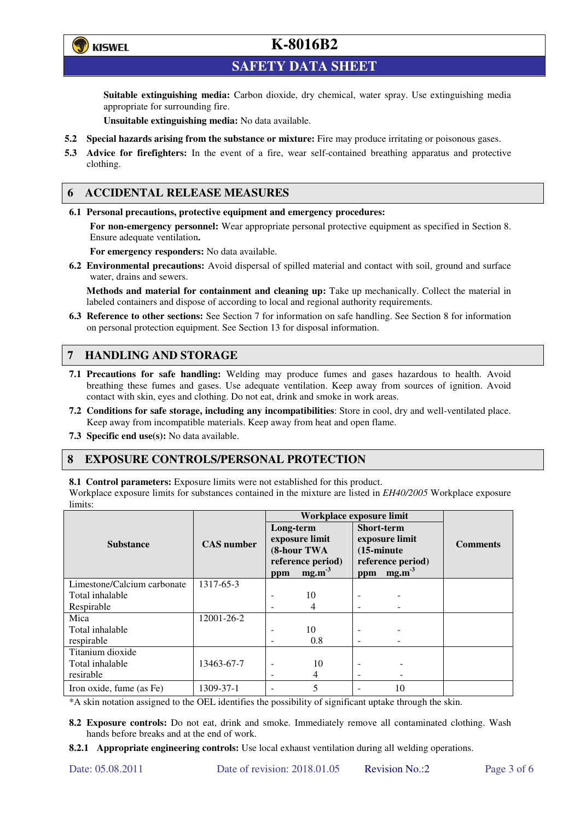

**SAFETY DATA SHEET** 

**Suitable extinguishing media:** Carbon dioxide, dry chemical, water spray. Use extinguishing media appropriate for surrounding fire.

**Unsuitable extinguishing media:** No data available.

- **5.2 Special hazards arising from the substance or mixture:** Fire may produce irritating or poisonous gases.
- **5.3 Advice for firefighters:** In the event of a fire, wear self-contained breathing apparatus and protective clothing.

## **6 ACCIDENTAL RELEASE MEASURES**

**6.1 Personal precautions, protective equipment and emergency procedures:** 

**For non-emergency personnel:** Wear appropriate personal protective equipment as specified in Section 8. Ensure adequate ventilation**.** 

**For emergency responders:** No data available.

**6.2 Environmental precautions:** Avoid dispersal of spilled material and contact with soil, ground and surface water, drains and sewers.

**Methods and material for containment and cleaning up:** Take up mechanically. Collect the material in labeled containers and dispose of according to local and regional authority requirements.

**6.3 Reference to other sections:** See Section 7 for information on safe handling. See Section 8 for information on personal protection equipment. See Section 13 for disposal information.

## **7 HANDLING AND STORAGE**

- **7.1 Precautions for safe handling:** Welding may produce fumes and gases hazardous to health. Avoid breathing these fumes and gases. Use adequate ventilation. Keep away from sources of ignition. Avoid contact with skin, eyes and clothing. Do not eat, drink and smoke in work areas.
- **7.2 Conditions for safe storage, including any incompatibilities**: Store in cool, dry and well-ventilated place. Keep away from incompatible materials. Keep away from heat and open flame.
- **7.3 Specific end use(s):** No data available.

## **8 EXPOSURE CONTROLS/PERSONAL PROTECTION**

**8.1 Control parameters:** Exposure limits were not established for this product.

Workplace exposure limits for substances contained in the mixture are listed in *EH40/2005* Workplace exposure limits:

|                             |                   | Workplace exposure limit                   |                                        |                                                             |                                        |                 |  |
|-----------------------------|-------------------|--------------------------------------------|----------------------------------------|-------------------------------------------------------------|----------------------------------------|-----------------|--|
|                             |                   | Long-term<br>exposure limit<br>(8-hour TWA |                                        | <b>Short-term</b><br>exposure limit<br>$(15\text{-minute})$ |                                        | <b>Comments</b> |  |
| <b>Substance</b>            | <b>CAS</b> number |                                            |                                        |                                                             |                                        |                 |  |
|                             |                   |                                            |                                        |                                                             |                                        |                 |  |
|                             |                   | ppm                                        | reference period)<br>mg.m <sup>3</sup> | ppm                                                         | reference period)<br>mg.m <sup>3</sup> |                 |  |
| Limestone/Calcium carbonate | 1317-65-3         |                                            |                                        |                                                             |                                        |                 |  |
| Total inhalable             |                   |                                            | 10                                     |                                                             |                                        |                 |  |
| Respirable                  |                   |                                            | 4                                      |                                                             |                                        |                 |  |
| Mica                        | 12001-26-2        |                                            |                                        |                                                             |                                        |                 |  |
| Total inhalable             |                   | -                                          | 10                                     | -                                                           |                                        |                 |  |
| respirable                  |                   |                                            | 0.8                                    |                                                             |                                        |                 |  |
| Titanium dioxide            |                   |                                            |                                        |                                                             |                                        |                 |  |
| Total inhalable             | 13463-67-7        | $\overline{\phantom{a}}$                   | 10                                     |                                                             |                                        |                 |  |
| resirable                   |                   | $\overline{\phantom{0}}$                   | 4                                      | -                                                           |                                        |                 |  |
| Iron oxide, fume (as Fe)    | 1309-37-1         | ٠                                          | 5                                      |                                                             | 10                                     |                 |  |

\*A skin notation assigned to the OEL identifies the possibility of significant uptake through the skin.

**8.2 Exposure controls:** Do not eat, drink and smoke. Immediately remove all contaminated clothing. Wash hands before breaks and at the end of work.

**8.2.1 Appropriate engineering controls:** Use local exhaust ventilation during all welding operations.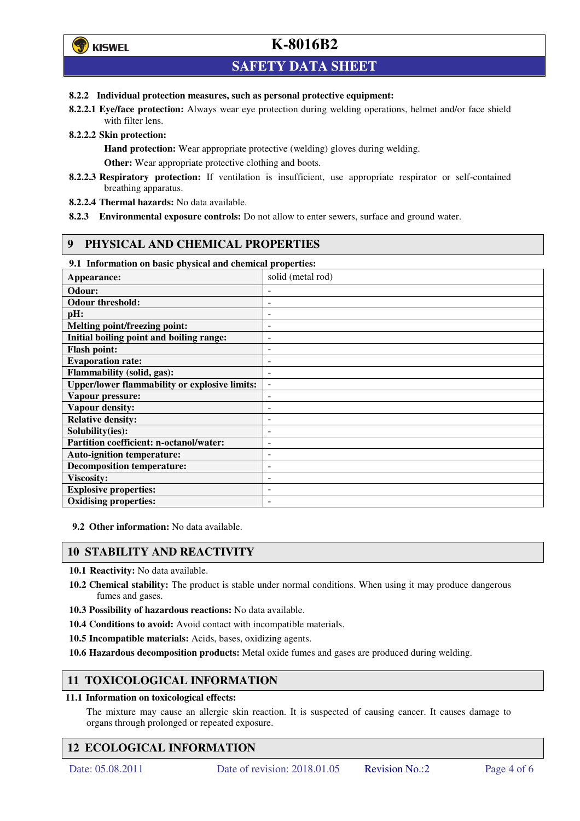

## **SAFETY DATA SHEET**

#### **8.2.2 Individual protection measures, such as personal protective equipment:**

**8.2.2.1 Eye/face protection:** Always wear eye protection during welding operations, helmet and/or face shield with filter lens.

**8.2.2.2 Skin protection:** 

**Hand protection:** Wear appropriate protective (welding) gloves during welding. **Other:** Wear appropriate protective clothing and boots.

- **8.2.2.3 Respiratory protection:** If ventilation is insufficient, use appropriate respirator or self-contained breathing apparatus.
- **8.2.2.4 Thermal hazards:** No data available.
- **8.2.3 Environmental exposure controls:** Do not allow to enter sewers, surface and ground water.

## **9 PHYSICAL AND CHEMICAL PROPERTIES**

#### **9.1 Information on basic physical and chemical properties:**

| Appearance:                                          | solid (metal rod)        |
|------------------------------------------------------|--------------------------|
| Odour:                                               |                          |
| <b>Odour threshold:</b>                              | ۰                        |
| pH:                                                  | $\overline{a}$           |
| Melting point/freezing point:                        |                          |
| Initial boiling point and boiling range:             | $\overline{a}$           |
| <b>Flash point:</b>                                  | $\overline{a}$           |
| <b>Evaporation rate:</b>                             |                          |
| Flammability (solid, gas):                           | $\overline{a}$           |
| <b>Upper/lower flammability or explosive limits:</b> | $\overline{\phantom{a}}$ |
| Vapour pressure:                                     | $\overline{a}$           |
| Vapour density:                                      |                          |
| <b>Relative density:</b>                             | ۰                        |
| Solubility(ies):                                     |                          |
| Partition coefficient: n-octanol/water:              | ۰                        |
| <b>Auto-ignition temperature:</b>                    | $\overline{a}$           |
| <b>Decomposition temperature:</b>                    | $\overline{a}$           |
| <b>Viscosity:</b>                                    |                          |
| <b>Explosive properties:</b>                         |                          |
| <b>Oxidising properties:</b>                         |                          |

**9.2 Other information:** No data available.

## **10 STABILITY AND REACTIVITY**

- **10.1 Reactivity:** No data available.
- **10.2 Chemical stability:** The product is stable under normal conditions. When using it may produce dangerous fumes and gases.
- **10.3 Possibility of hazardous reactions:** No data available.
- **10.4 Conditions to avoid:** Avoid contact with incompatible materials.
- **10.5 Incompatible materials:** Acids, bases, oxidizing agents.

**10.6 Hazardous decomposition products:** Metal oxide fumes and gases are produced during welding.

## **11 TOXICOLOGICAL INFORMATION**

#### **11.1 Information on toxicological effects:**

The mixture may cause an allergic skin reaction. It is suspected of causing cancer. It causes damage to organs through prolonged or repeated exposure.

## **12 ECOLOGICAL INFORMATION**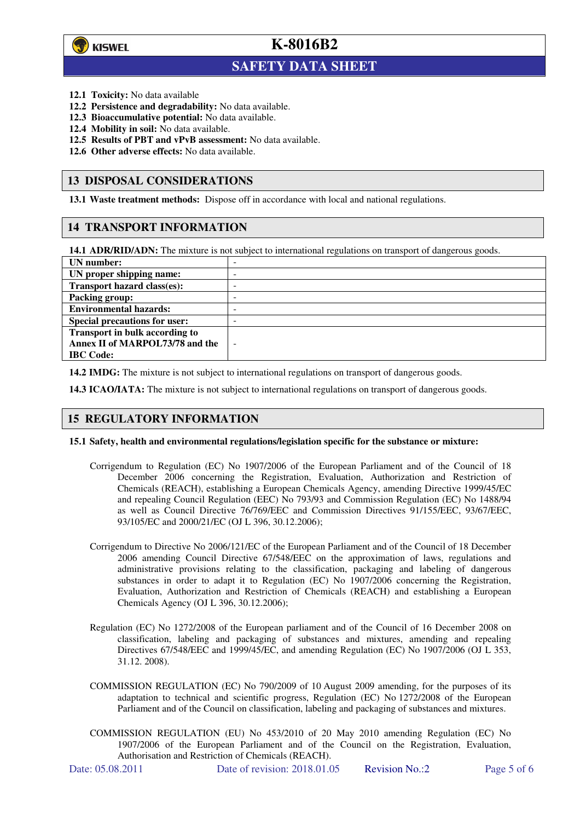

 $\overline{a}$ 

**K-8016B2**

# **SAFETY DATA SHEET**

- **12.1 Toxicity:** No data available
- **12.2 Persistence and degradability:** No data available.
- **12.3 Bioaccumulative potential:** No data available.
- **12.4 Mobility in soil:** No data available.
- **12.5 Results of PBT and vPvB assessment:** No data available.
- **12.6 Other adverse effects:** No data available.

#### **13 DISPOSAL CONSIDERATIONS**

**13.1 Waste treatment methods:** Dispose off in accordance with local and national regulations.

#### **14 TRANSPORT INFORMATION**

**14.1 ADR/RID/ADN:** The mixture is not subject to international regulations on transport of dangerous goods.

| UN number:                            | - |
|---------------------------------------|---|
| UN proper shipping name:              |   |
| Transport hazard class(es):           | - |
| <b>Packing group:</b>                 | - |
| <b>Environmental hazards:</b>         | - |
| <b>Special precautions for user:</b>  |   |
| <b>Transport in bulk according to</b> |   |
| Annex II of MARPOL73/78 and the       | ÷ |
| <b>IBC</b> Code:                      |   |

**14.2 IMDG:** The mixture is not subject to international regulations on transport of dangerous goods.

**14.3 ICAO/IATA:** The mixture is not subject to international regulations on transport of dangerous goods.

#### **15 REGULATORY INFORMATION**

#### **15.1 Safety, health and environmental regulations/legislation specific for the substance or mixture:**

- Corrigendum to Regulation (EC) No 1907/2006 of the European Parliament and of the Council of 18 December 2006 concerning the Registration, Evaluation, Authorization and Restriction of Chemicals (REACH), establishing a European Chemicals Agency, amending Directive 1999/45/EC and repealing Council Regulation (EEC) No 793/93 and Commission Regulation (EC) No 1488/94 as well as Council Directive 76/769/EEC and Commission Directives 91/155/EEC, 93/67/EEC, 93/105/EC and 2000/21/EC (OJ L 396, 30.12.2006);
- Corrigendum to Directive No 2006/121/EC of the European Parliament and of the Council of 18 December 2006 amending Council Directive 67/548/EEC on the approximation of laws, regulations and administrative provisions relating to the classification, packaging and labeling of dangerous substances in order to adapt it to Regulation (EC) No 1907/2006 concerning the Registration, Evaluation, Authorization and Restriction of Chemicals (REACH) and establishing a European Chemicals Agency (OJ L 396, 30.12.2006);
- Regulation (EC) No 1272/2008 of the European parliament and of the Council of 16 December 2008 on classification, labeling and packaging of substances and mixtures, amending and repealing Directives 67/548/EEC and 1999/45/EC, and amending Regulation (EC) No 1907/2006 (OJ L 353, 31.12. 2008).
- COMMISSION REGULATION (EC) No 790/2009 of 10 August 2009 amending, for the purposes of its adaptation to technical and scientific progress, Regulation (EC) No 1272/2008 of the European Parliament and of the Council on classification, labeling and packaging of substances and mixtures.
- COMMISSION REGULATION (EU) No 453/2010 of 20 May 2010 amending Regulation (EC) No 1907/2006 of the European Parliament and of the Council on the Registration, Evaluation, Authorisation and Restriction of Chemicals (REACH).